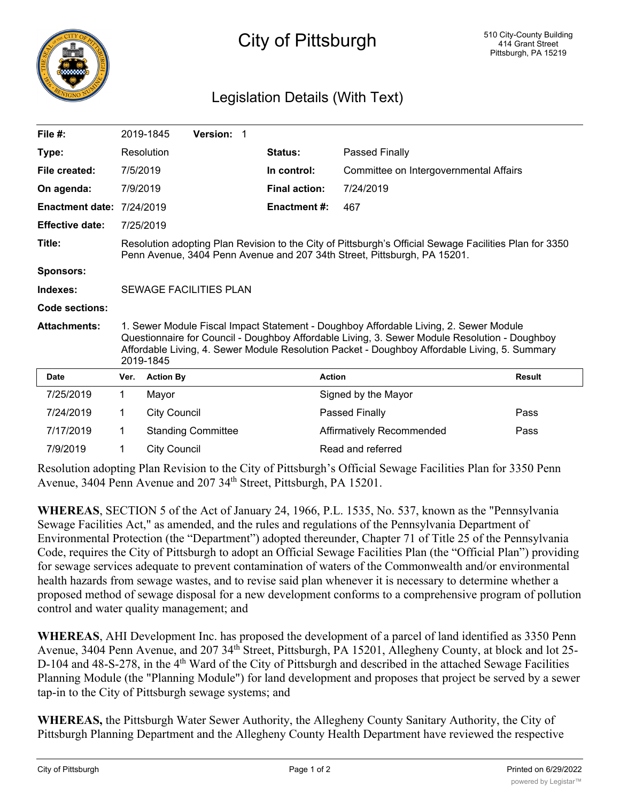

## City of Pittsburgh

## Legislation Details (With Text)

| File $#$ :                       |                                                                                                                                                                                                                                                                                                      | 2019-1845           | Version: 1                |  |                      |                                        |               |
|----------------------------------|------------------------------------------------------------------------------------------------------------------------------------------------------------------------------------------------------------------------------------------------------------------------------------------------------|---------------------|---------------------------|--|----------------------|----------------------------------------|---------------|
| Type:                            |                                                                                                                                                                                                                                                                                                      | Resolution          |                           |  | Status:              | <b>Passed Finally</b>                  |               |
| File created:                    | 7/5/2019                                                                                                                                                                                                                                                                                             |                     |                           |  | In control:          | Committee on Intergovernmental Affairs |               |
| On agenda:                       | 7/9/2019                                                                                                                                                                                                                                                                                             |                     |                           |  | <b>Final action:</b> | 7/24/2019                              |               |
| <b>Enactment date: 7/24/2019</b> |                                                                                                                                                                                                                                                                                                      |                     |                           |  | <b>Enactment#:</b>   | 467                                    |               |
| <b>Effective date:</b>           |                                                                                                                                                                                                                                                                                                      | 7/25/2019           |                           |  |                      |                                        |               |
| Title:                           | Resolution adopting Plan Revision to the City of Pittsburgh's Official Sewage Facilities Plan for 3350<br>Penn Avenue, 3404 Penn Avenue and 207 34th Street, Pittsburgh, PA 15201.                                                                                                                   |                     |                           |  |                      |                                        |               |
| <b>Sponsors:</b>                 |                                                                                                                                                                                                                                                                                                      |                     |                           |  |                      |                                        |               |
| Indexes:                         | <b>SEWAGE FACILITIES PLAN</b>                                                                                                                                                                                                                                                                        |                     |                           |  |                      |                                        |               |
| Code sections:                   |                                                                                                                                                                                                                                                                                                      |                     |                           |  |                      |                                        |               |
| <b>Attachments:</b>              | 1. Sewer Module Fiscal Impact Statement - Doughboy Affordable Living, 2. Sewer Module<br>Questionnaire for Council - Doughboy Affordable Living, 3. Sewer Module Resolution - Doughboy<br>Affordable Living, 4. Sewer Module Resolution Packet - Doughboy Affordable Living, 5. Summary<br>2019-1845 |                     |                           |  |                      |                                        |               |
| <b>Date</b>                      | Ver.                                                                                                                                                                                                                                                                                                 | <b>Action By</b>    |                           |  |                      | <b>Action</b>                          | <b>Result</b> |
| 7/25/2019                        | 1.                                                                                                                                                                                                                                                                                                   | Mayor               |                           |  |                      | Signed by the Mayor                    |               |
| 7/24/2019                        | 1                                                                                                                                                                                                                                                                                                    | <b>City Council</b> |                           |  |                      | Passed Finally                         | Pass          |
| 7/17/2019                        | 1                                                                                                                                                                                                                                                                                                    |                     | <b>Standing Committee</b> |  |                      | Affirmatively Recommended              | Pass          |
| 7/9/2019                         | 1                                                                                                                                                                                                                                                                                                    | <b>City Council</b> |                           |  |                      | Read and referred                      |               |

Resolution adopting Plan Revision to the City of Pittsburgh's Official Sewage Facilities Plan for 3350 Penn Avenue, 3404 Penn Avenue and 207 34<sup>th</sup> Street, Pittsburgh, PA 15201.

**WHEREAS**, SECTION 5 of the Act of January 24, 1966, P.L. 1535, No. 537, known as the "Pennsylvania Sewage Facilities Act," as amended, and the rules and regulations of the Pennsylvania Department of Environmental Protection (the "Department") adopted thereunder, Chapter 71 of Title 25 of the Pennsylvania Code, requires the City of Pittsburgh to adopt an Official Sewage Facilities Plan (the "Official Plan") providing for sewage services adequate to prevent contamination of waters of the Commonwealth and/or environmental health hazards from sewage wastes, and to revise said plan whenever it is necessary to determine whether a proposed method of sewage disposal for a new development conforms to a comprehensive program of pollution control and water quality management; and

**WHEREAS**, AHI Development Inc. has proposed the development of a parcel of land identified as 3350 Penn Avenue, 3404 Penn Avenue, and 207 34<sup>th</sup> Street, Pittsburgh, PA 15201, Allegheny County, at block and lot 25-D-104 and 48-S-278, in the 4<sup>th</sup> Ward of the City of Pittsburgh and described in the attached Sewage Facilities Planning Module (the "Planning Module") for land development and proposes that project be served by a sewer tap-in to the City of Pittsburgh sewage systems; and

**WHEREAS,** the Pittsburgh Water Sewer Authority, the Allegheny County Sanitary Authority, the City of Pittsburgh Planning Department and the Allegheny County Health Department have reviewed the respective